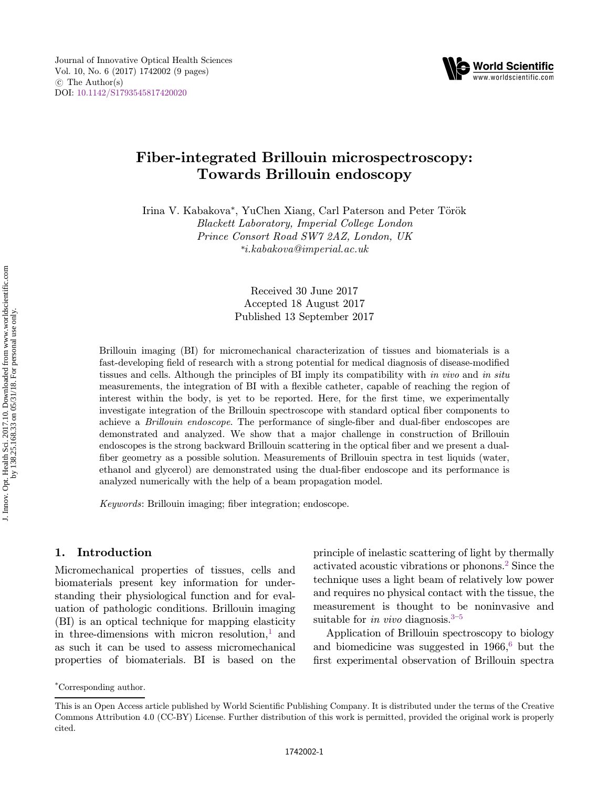

# Fiber-integrated Brillouin microspectroscopy: Towards Brillouin endoscopy

Irina V. Kabakova\*, YuChen Xiang, Carl Paterson and Peter Török Blackett Laboratory, Imperial College London Prince Consort Road SW7 2AZ, London, UK \*i.kabakova@imperial.ac.uk

> Received 30 June 2017 Accepted 18 August 2017 Published 13 September 2017

Brillouin imaging (BI) for micromechanical characterization of tissues and biomaterials is a fast-developing field of research with a strong potential for medical diagnosis of disease-modified tissues and cells. Although the principles of BI imply its compatibility with in vivo and in situ measurements, the integration of BI with a flexible catheter, capable of reaching the region of interest within the body, is yet to be reported. Here, for the first time, we experimentally investigate integration of the Brillouin spectroscope with standard optical fiber components to achieve a  $Brillouin endoscope$ . The performance of single-fiber and dual-fiber endoscopes are demonstrated and analyzed. We show that a major challenge in construction of Brillouin endoscopes is the strong backward Brillouin scattering in the optical fiber and we present a dualfiber geometry as a possible solution. Measurements of Brillouin spectra in test liquids (water, ethanol and glycerol) are demonstrated using the dual-fiber endoscope and its performance is analyzed numerically with the help of a beam propagation model.

 $Keywords: Brillouin imaging; fiber integration; endoscopic.$ 

### 1. Introduction

Micromechanical properties of tissues, cells and biomaterials present key information for understanding their physiological function and for evaluation of pathologic conditions. Brillouin imaging (BI) is an optical technique for mapping elasticity in three-dimensions with micron resolution, $\frac{1}{1}$  $\frac{1}{1}$  $\frac{1}{1}$  and as such it can be used to assess micromechanical properties of biomaterials. BI is based on the principle of inelastic scattering of light by thermally activated acoustic vibrations or phonons.[2](#page-7-0) Since the technique uses a light beam of relatively low power and requires no physical contact with the tissue, the measurement is thought to be noninvasive and suitable for in vivo diagnosis.<sup>3–[5](#page-7-0)</sup>

Application of Brillouin spectroscopy to biology and biomedicine was suggested in  $1966<sup>6</sup>$  $1966<sup>6</sup>$  $1966<sup>6</sup>$  but the first experimental observation of Brillouin spectra

<sup>\*</sup>Corresponding author.

This is an Open Access article published by World Scientific Publishing Company. It is distributed under the terms of the Creative Commons Attribution 4.0 (CC-BY) License. Further distribution of this work is permitted, provided the original work is properly cited.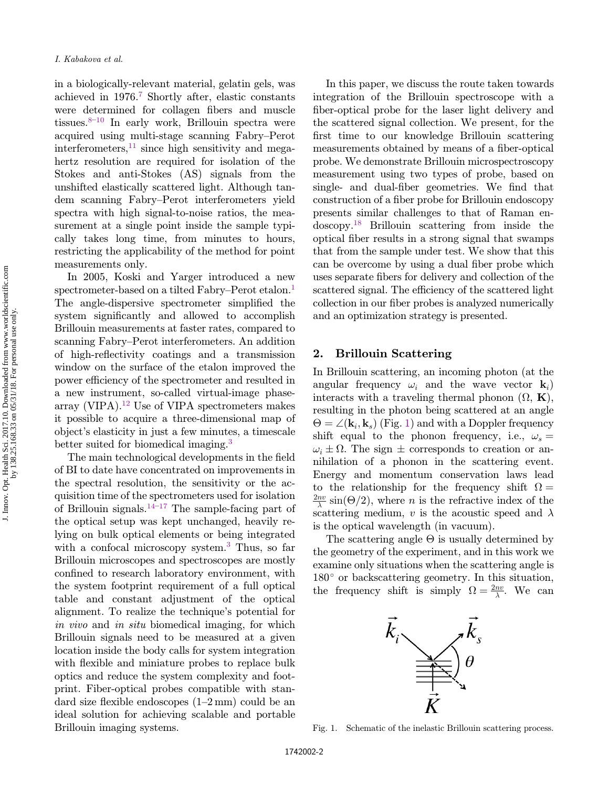in a biologically-relevant material, gelatin gels, was achieved in 1976[.7](#page-7-0) Shortly after, elastic constants were determined for collagen fibers and muscle tissues. $8-10$  $8-10$  In early work, Brillouin spectra were acquired using multi-stage scanning Fabry–Perot interferometers,  $11$  since high sensitivity and megahertz resolution are required for isolation of the Stokes and anti-Stokes (AS) signals from the unshifted elastically scattered light. Although tandem scanning Fabry–Perot interferometers yield spectra with high signal-to-noise ratios, the measurement at a single point inside the sample typically takes long time, from minutes to hours, restricting the applicability of the method for point measurements only.

In 2005, Koski and Yarger introduced a new spectrometer-based on a tilted Fabry–Perot etalon.<sup>[1](#page-7-0)</sup> The angle-dispersive spectrometer simplified the system significantly and allowed to accomplish Brillouin measurements at faster rates, compared to scanning Fabry–Perot interferometers. An addition of high-reflectivity coatings and a transmission window on the surface of the etalon improved the power efficiency of the spectrometer and resulted in a new instrument, so-called virtual-image phasearray (VIPA).[12](#page-7-0) Use of VIPA spectrometers makes it possible to acquire a three-dimensional map of object's elasticity in just a few minutes, a timescale better suited for biomedical imaging.<sup>[3](#page-7-0)</sup>

The main technological developments in the field of BI to date have concentrated on improvements in the spectral resolution, the sensitivity or the acquisition time of the spectrometers used for isolation of Brillouin signals.<sup>[14](#page-7-0)–[17](#page-7-0)</sup> The sample-facing part of the optical setup was kept unchanged, heavily relying on bulk optical elements or being integrated with a confocal microscopy system.<sup>[3](#page-7-0)</sup> Thus, so far Brillouin microscopes and spectroscopes are mostly confined to research laboratory environment, with the system footprint requirement of a full optical table and constant adjustment of the optical alignment. To realize the technique's potential for in vivo and in situ biomedical imaging, for which Brillouin signals need to be measured at a given location inside the body calls for system integration with flexible and miniature probes to replace bulk optics and reduce the system complexity and footprint. Fiber-optical probes compatible with standard size flexible endoscopes  $(1-2 \text{ mm})$  could be an ideal solution for achieving scalable and portable Brillouin imaging systems.

In this paper, we discuss the route taken towards integration of the Brillouin spectroscope with a fiber-optical probe for the laser light delivery and the scattered signal collection. We present, for the first time to our knowledge Brillouin scattering measurements obtained by means of a fiber-optical probe. We demonstrate Brillouin microspectroscopy measurement using two types of probe, based on single- and dual-fiber geometries. We find that construction of a fiber probe for Brillouin endoscopy presents similar challenges to that of Raman endoscopy.[18](#page-7-0) Brillouin scattering from inside the optical fiber results in a strong signal that swamps that from the sample under test. We show that this can be overcome by using a dual fiber probe which uses separate fibers for delivery and collection of the scattered signal. The efficiency of the scattered light collection in our fiber probes is analyzed numerically and an optimization strategy is presented.

#### 2. Brillouin Scattering

In Brillouin scattering, an incoming photon (at the angular frequency  $\omega_i$  and the wave vector  $\mathbf{k}_i$ ) interacts with a traveling thermal phonon  $(\Omega, \mathbf{K})$ , resulting in the photon being scattered at an angle shift equal to the phonon frequency, i.e.,  $\omega_s$  =  $\Theta = \angle (\mathbf{k}_i, \mathbf{k}_s)$  (Fig. 1) and with a Doppler frequency  $\omega_i \pm \Omega$ . The sign  $\pm$  corresponds to creation or annihilation of a phonon in the scattering event. Energy and momentum conservation laws lead to the relationship for the frequency shift  $\Omega =$  $\frac{nv}{\lambda}$  sin( $\Theta/2$ ), where *n* is the refractive index of the scattering medium, v is the acoustic speed and  $\lambda$ is the optical wavelength (in vacuum).

The scattering angle  $\Theta$  is usually determined by<br>recovery of the experiment, and in this work we the geometry of the experiment, and in this work we examine only situations when the scattering angle is  $180^{\circ}$  or backscattering geometry. In this situation, the frequency shift is simply  $\Omega = \frac{2nv}{\lambda}$ . We can



Fig. 1. Schematic of the inelastic Brillouin scattering process.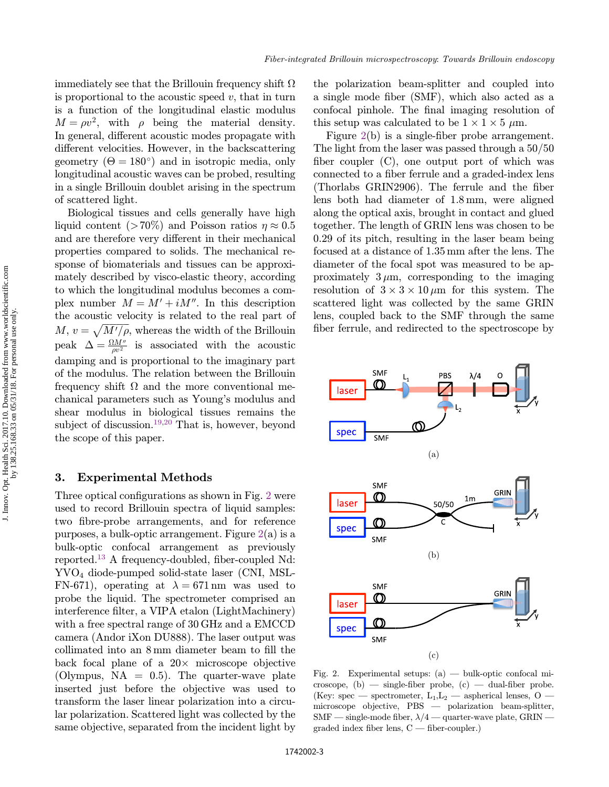<span id="page-2-0"></span>immediately see that the Brillouin frequency shift  $\Omega$ is proportional to the acoustic speed  $v$ , that in turn is a function of the longitudinal elastic modulus  $M = \rho v^2$ , with  $\rho$  being the material density. In general, different acoustic modes propagate with different velocities. However, in the backscattering geometry  $(\Theta = 180^{\circ})$  and in isotropic media, only<br>longitudinal acquisic waves can be probed resulting longitudinal acoustic waves can be probed, resulting in a single Brillouin doublet arising in the spectrum of scattered light.

Biological tissues and cells generally have high liquid content (>70%) and Poisson ratios  $\eta \approx 0.5$ and are therefore very different in their mechanical properties compared to solids. The mechanical response of biomaterials and tissues can be approximately described by visco-elastic theory, according to which the longitudinal modulus becomes a complex number  $M = M' + iM''$ . In this description the acoustic velocity is related to the real part of  $M, v = \sqrt{M'/\rho}$ , whereas the width of the Brillouin peak  $\Delta = \frac{\Omega M''}{\rho v^2}$  is associated with the acoustic damping and is proportional to the imaginary part of the modulus. The relation between the Brillouin frequency shift  $\Omega$  and the more conventional mechanical parameters such as Young's modulus and shear modulus in biological tissues remains the subject of discussion.<sup>19,20</sup> That is, however, beyond the scope of this paper.

#### 3. Experimental Methods

Three optical configurations as shown in Fig. 2 were used to record Brillouin spectra of liquid samples: two fibre-probe arrangements, and for reference purposes, a bulk-optic arrangement. Figure  $2(a)$  is a bulk-optic confocal arrangement as previously reported.<sup>[13](#page-7-0)</sup> A frequency-doubled, fiber-coupled Nd: YVO4 diode-pumped solid-state laser (CNI, MSL-FN-671), operating at  $\lambda = 671$  nm was used to probe the liquid. The spectrometer comprised an interference filter, a VIPA etalon (LightMachinery) with a free spectral range of 30 GHz and a EMCCD camera (Andor iXon DU888). The laser output was collimated into an  $8 \text{ mm}$  diameter beam to fill the back focal plane of a  $20 \times$  microscope objective (Olympus,  $NA = 0.5$ ). The quarter-wave plate inserted just before the objective was used to transform the laser linear polarization into a circular polarization. Scattered light was collected by the same objective, separated from the incident light by the polarization beam-splitter and coupled into a single mode fiber (SMF), which also acted as a confocal pinhole. The final imaging resolution of this setup was calculated to be  $1 \times 1 \times 5 \mu m$ .

Figure  $2(b)$  is a single-fiber probe arrangement. The light from the laser was passed through a 50/50 fiber coupler  $(C)$ , one output port of which was connected to a fiber ferrule and a graded-index lens (Thorlabs GRIN2906). The ferrule and the fiber lens both had diameter of 1.8 mm, were aligned along the optical axis, brought in contact and glued together. The length of GRIN lens was chosen to be 0.29 of its pitch, resulting in the laser beam being focused at a distance of 1.35 mm after the lens. The diameter of the focal spot was measured to be approximately  $3 \mu m$ , corresponding to the imaging resolution of  $3 \times 3 \times 10 \,\mu m$  for this system. The scattered light was collected by the same GRIN lens, coupled back to the SMF through the same fiber ferrule, and redirected to the spectroscope by



Fig. 2. Experimental setups: (a) — bulk-optic confocal mi- $\cscope$ , (b) — single-fiber probe, (c) — dual-fiber probe. (Key: spec — spectrometer,  $L_1, L_2$  — aspherical lenses, O microscope objective, PBS — polarization beam-splitter,  $\text{SMF}$  — single-mode fiber,  $\lambda/4$  — quarter-wave plate, GRIN  $graded index fiber lens, C — fiber-coupler.$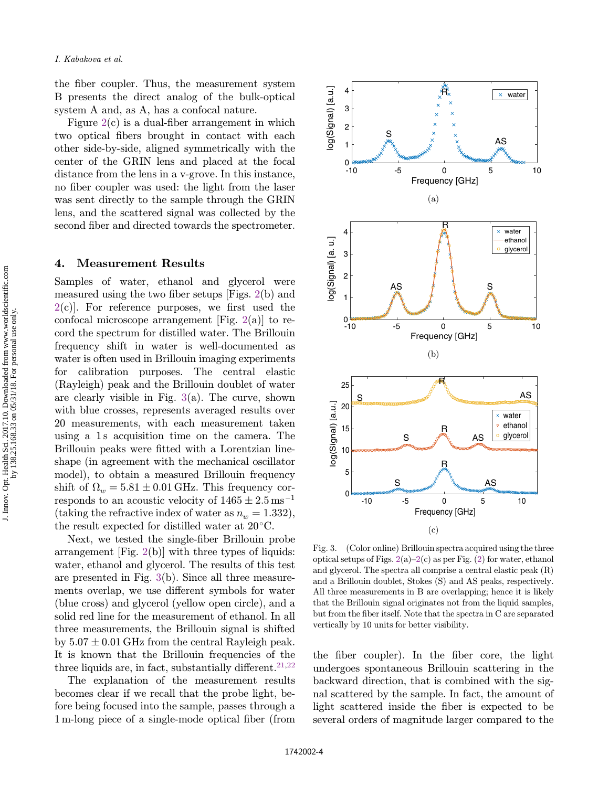<span id="page-3-0"></span>the fiber coupler. Thus, the measurement system B presents the direct analog of the bulk-optical system A and, as A, has a confocal nature.

Figure  $2(c)$  $2(c)$  is a dual-fiber arrangement in which two optical fibers brought in contact with each other side-by-side, aligned symmetrically with the center of the GRIN lens and placed at the focal distance from the lens in a v-grove. In this instance, no fiber coupler was used: the light from the laser was sent directly to the sample through the GRIN lens, and the scattered signal was collected by the second fiber and directed towards the spectrometer.

#### 4. Measurement Results

Samples of water, ethanol and glycerol were measured using the two fiber setups  $[Figs. 2(b)$  $[Figs. 2(b)$  $[Figs. 2(b)$  and  $2(c)$  $2(c)$ . For reference purposes, we first used the confocal microscope arrangement [Fig.  $2(a)$  $2(a)$ ] to record the spectrum for distilled water. The Brillouin frequency shift in water is well-documented as water is often used in Brillouin imaging experiments for calibration purposes. The central elastic (Rayleigh) peak and the Brillouin doublet of water are clearly visible in Fig.  $3(a)$ . The curve, shown with blue crosses, represents averaged results over 20 measurements, with each measurement taken using a 1 s acquisition time on the camera. The Brillouin peaks were fitted with a Lorentzian lineshape (in agreement with the mechanical oscillator model), to obtain a measured Brillouin frequency shift of  $\Omega_w = 5.81 \pm 0.01$  GHz. This frequency corresponds to an acoustic velocity of  $1465 \pm 2.5$  ms<sup>-1</sup> (taking the refractive index of water as  $n_w = 1.332$ ), the result expected for distilled water at  $20^{\circ}$ C.

Next, we tested the single-fiber Brillouin probe arrangement  $[Fig. 2(b)]$  $[Fig. 2(b)]$  $[Fig. 2(b)]$  with three types of liquids: water, ethanol and glycerol. The results of this test are presented in Fig. 3(b). Since all three measurements overlap, we use different symbols for water (blue cross) and glycerol (yellow open circle), and a solid red line for the measurement of ethanol. In all three measurements, the Brillouin signal is shifted by  $5.07 \pm 0.01$  GHz from the central Rayleigh peak. It is known that the Brillouin frequencies of the three liquids are, in fact, substantially different.<sup>21,[22](#page-7-0)</sup>

The explanation of the measurement results becomes clear if we recall that the probe light, before being focused into the sample, passes through a 1 m-long piece of a single-mode optical fiber (from



Fig. 3. (Color online) Brillouin spectra acquired using the three optical setups of Figs.  $2(a)-2(c)$  $2(a)-2(c)$  as per Fig. [\(2\)](#page-2-0) for water, ethanol and glycerol. The spectra all comprise a central elastic peak (R) and a Brillouin doublet, Stokes (S) and AS peaks, respectively. All three measurements in B are overlapping; hence it is likely that the Brillouin signal originates not from the liquid samples, but from the fiber itself. Note that the spectra in C are separated vertically by 10 units for better visibility.

the fiber coupler). In the fiber core, the light undergoes spontaneous Brillouin scattering in the backward direction, that is combined with the signal scattered by the sample. In fact, the amount of light scattered inside the fiber is expected to be several orders of magnitude larger compared to the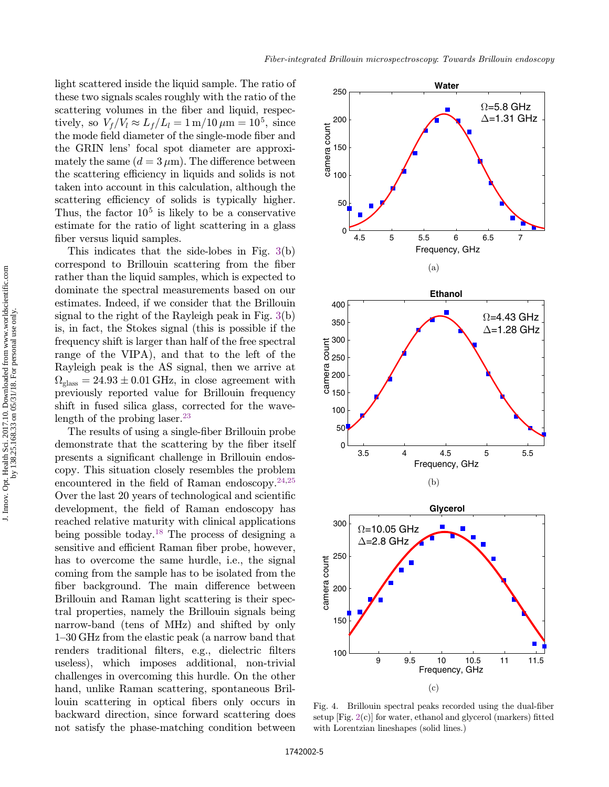<span id="page-4-0"></span>light scattered inside the liquid sample. The ratio of these two signals scales roughly with the ratio of the scattering volumes in the fiber and liquid, respectively, so  $V_f/V_l \approx L_f/L_l = 1$  m/10  $\mu$ m = 10<sup>5</sup>, since the mode field diameter of the single-mode fiber and the GRIN lens' focal spot diameter are approximately the same  $(d = 3 \mu m)$ . The difference between the scattering efficiency in liquids and solids is not taken into account in this calculation, although the scattering efficiency of solids is typically higher. Thus, the factor  $10<sup>5</sup>$  is likely to be a conservative estimate for the ratio of light scattering in a glass fiber versus liquid samples.

This indicates that the side-lobes in Fig. [3\(](#page-3-0)b) correspond to Brillouin scattering from the fiber rather than the liquid samples, which is expected to dominate the spectral measurements based on our estimates. Indeed, if we consider that the Brillouin signal to the right of the Rayleigh peak in Fig. [3\(](#page-3-0)b) is, in fact, the Stokes signal (this is possible if the frequency shift is larger than half of the free spectral range of the VIPA), and that to the left of the Rayleigh peak is the AS signal, then we arrive at  $\Omega_{\text{glass}} = 24.93 \pm 0.01 \text{ GHz}$ , in close agreement with previously reported value for Brillouin frequency shift in fused silica glass, corrected for the wave-length of the probing laser.<sup>[23](#page-7-0)</sup>

The results of using a single-fiber Brillouin probe demonstrate that the scattering by the fiber itself presents a significant challenge in Brillouin endoscopy. This situation closely resembles the problem encountered in the field of Raman endoscopy. $24,25$  $24,25$ Over the last 20 years of technological and scientific development, the field of Raman endoscopy has reached relative maturity with clinical applications being possible today.<sup>[18](#page-7-0)</sup> The process of designing a sensitive and efficient Raman fiber probe, however, has to overcome the same hurdle, i.e., the signal coming from the sample has to be isolated from the fiber background. The main difference between Brillouin and Raman light scattering is their spectral properties, namely the Brillouin signals being narrow-band (tens of MHz) and shifted by only 1–30 GHz from the elastic peak (a narrow band that renders traditional filters, e.g., dielectric filters useless), which imposes additional, non-trivial challenges in overcoming this hurdle. On the other hand, unlike Raman scattering, spontaneous Brillouin scattering in optical fibers only occurs in backward direction, since forward scattering does not satisfy the phase-matching condition between



Fig. 4. Brillouin spectral peaks recorded using the dual-fiber setup  $[Fig. 2(c)]$  $[Fig. 2(c)]$  $[Fig. 2(c)]$  for water, ethanol and glycerol (markers) fitted with Lorentzian lineshapes (solid lines.)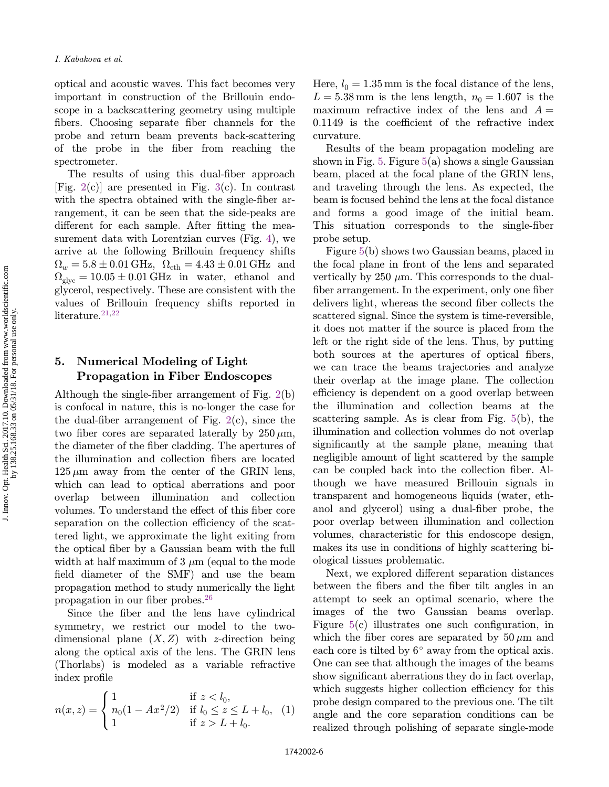optical and acoustic waves. This fact becomes very important in construction of the Brillouin endoscope in a backscattering geometry using multiple fibers. Choosing separate fiber channels for the probe and return beam prevents back-scattering of the probe in the fiber from reaching the spectrometer.

The results of using this dual-fiber approach [Fig.  $2(c)$  $2(c)$ ] are presented in Fig.  $3(c)$  $3(c)$ . In contrast with the spectra obtained with the single-fiber arrangement, it can be seen that the side-peaks are different for each sample. After fitting the measurement data with Lorentzian curves (Fig. [4](#page-4-0)), we arrive at the following Brillouin frequency shifts  $\Omega_w = 5.8 \pm 0.01 \text{ GHz}, \ \Omega_{\text{eth}} = 4.43 \pm 0.01 \text{ GHz} \ \text{and}$  $\Omega_{\text{glve}} = 10.05 \pm 0.01 \text{ GHz}$  in water, ethanol and glycerol, respectively. These are consistent with the values of Brillouin frequency shifts reported in literature. $21,22$ 

## 5. Numerical Modeling of Light Propagation in Fiber Endoscopes

Although the single-fiber arrangement of Fig.  $2(b)$  $2(b)$ is confocal in nature, this is no-longer the case for the dual-fiber arrangement of Fig.  $2(c)$  $2(c)$ , since the two fiber cores are separated laterally by  $250 \,\mu m$ , the diameter of the fiber cladding. The apertures of the illumination and collection fibers are located  $125 \mu m$  away from the center of the GRIN lens. which can lead to optical aberrations and poor overlap between illumination and collection volumes. To understand the effect of this fiber core separation on the collection efficiency of the scattered light, we approximate the light exiting from the optical fiber by a Gaussian beam with the full width at half maximum of  $3 \mu m$  (equal to the mode field diameter of the SMF) and use the beam propagation method to study numerically the light propagation in our fiber probes. $26$ 

Since the fiber and the lens have cylindrical symmetry, we restrict our model to the twodimensional plane  $(X, Z)$  with z-direction being along the optical axis of the lens. The GRIN lens (Thorlabs) is modeled as a variable refractive index profile

$$
n(x, z) = \begin{cases} 1 & \text{if } z < l_0, \\ n_0(1 - Ax^2/2) & \text{if } l_0 \le z \le L + l_0, \\ 1 & \text{if } z > L + l_0. \end{cases}
$$
 (1)

Here,  $l_0 = 1.35$  mm is the focal distance of the lens,  $L = 5.38$  mm is the lens length,  $n_0 = 1.607$  is the maximum refractive index of the lens and  $A =$  $0.1149$  is the coefficient of the refractive index curvature.

Results of the beam propagation modeling are shown in Fig. [5](#page-6-0). Figure  $5(a)$  $5(a)$  shows a single Gaussian beam, placed at the focal plane of the GRIN lens, and traveling through the lens. As expected, the beam is focused behind the lens at the focal distance and forms a good image of the initial beam. This situation corresponds to the single-fiber probe setup.

Figure [5](#page-6-0)(b) shows two Gaussian beams, placed in the focal plane in front of the lens and separated vertically by 250  $\mu$ m. This corresponds to the dualfiber arrangement. In the experiment, only one fiber delivers light, whereas the second fiber collects the scattered signal. Since the system is time-reversible, it does not matter if the source is placed from the left or the right side of the lens. Thus, by putting both sources at the apertures of optical fibers, we can trace the beams trajectories and analyze their overlap at the image plane. The collection efficiency is dependent on a good overlap between the illumination and collection beams at the scattering sample. As is clear from Fig. [5](#page-6-0)(b), the illumination and collection volumes do not overlap significantly at the sample plane, meaning that negligible amount of light scattered by the sample can be coupled back into the collection fiber. Although we have measured Brillouin signals in transparent and homogeneous liquids (water, ethanol and glycerol) using a dual-fiber probe, the poor overlap between illumination and collection volumes, characteristic for this endoscope design, makes its use in conditions of highly scattering biological tissues problematic.

Next, we explored different separation distances between the fibers and the fiber tilt angles in an attempt to seek an optimal scenario, where the images of the two Gaussian beams overlap. Figure  $5(c)$  $5(c)$  illustrates one such configuration, in which the fiber cores are separated by  $50 \mu m$  and each core is tilted by  $6^{\circ}$  away from the optical axis. One can see that although the images of the beams show significant aberrations they do in fact overlap, which suggests higher collection efficiency for this probe design compared to the previous one. The tilt angle and the core separation conditions can be realized through polishing of separate single-mode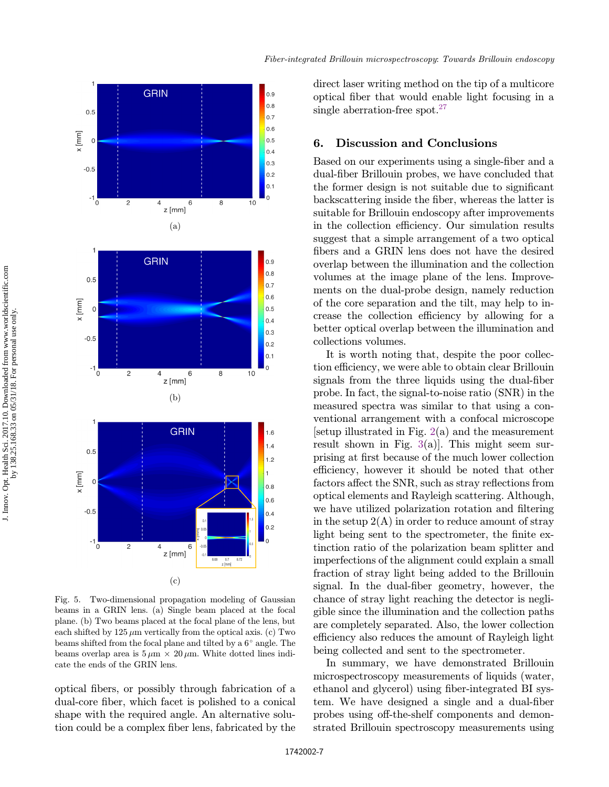<span id="page-6-0"></span>

Fig. 5. Two-dimensional propagation modeling of Gaussian beams in a GRIN lens. (a) Single beam placed at the focal plane. (b) Two beams placed at the focal plane of the lens, but each shifted by  $125 \mu m$  vertically from the optical axis. (c) Two beams shifted from the focal plane and tilted by a  $6^{\circ}$  angle. The beams overlap area is  $5 \mu m \times 20 \mu m$ . White dotted lines indicate the ends of the GRIN lens.

optical fibers, or possibly through fabrication of a dual-core fiber, which facet is polished to a conical shape with the required angle. An alternative solution could be a complex fiber lens, fabricated by the direct laser writing method on the tip of a multicore optical fiber that would enable light focusing in a single aberration-free spot.<sup>27</sup>

## 6. Discussion and Conclusions

Based on our experiments using a single-fiber and a dual-fiber Brillouin probes, we have concluded that the former design is not suitable due to significant backscattering inside the fiber, whereas the latter is suitable for Brillouin endoscopy after improvements in the collection efficiency. Our simulation results suggest that a simple arrangement of a two optical fibers and a GRIN lens does not have the desired overlap between the illumination and the collection volumes at the image plane of the lens. Improvements on the dual-probe design, namely reduction of the core separation and the tilt, may help to increase the collection efficiency by allowing for a better optical overlap between the illumination and collections volumes.

It is worth noting that, despite the poor collection efficiency, we were able to obtain clear Brillouin signals from the three liquids using the dual-fiber probe. In fact, the signal-to-noise ratio (SNR) in the measured spectra was similar to that using a conventional arrangement with a confocal microscope [setup illustrated in Fig.  $2(a)$  $2(a)$  and the measurement result shown in Fig.  $3(a)$  $3(a)$ . This might seem surprising at first because of the much lower collection efficiency, however it should be noted that other factors affect the SNR, such as stray reflections from optical elements and Rayleigh scattering. Although, we have utilized polarization rotation and filtering in the setup  $2(A)$  in order to reduce amount of stray light being sent to the spectrometer, the finite extinction ratio of the polarization beam splitter and imperfections of the alignment could explain a small fraction of stray light being added to the Brillouin signal. In the dual-fiber geometry, however, the chance of stray light reaching the detector is negligible since the illumination and the collection paths are completely separated. Also, the lower collection efficiency also reduces the amount of Rayleigh light being collected and sent to the spectrometer.

In summary, we have demonstrated Brillouin microspectroscopy measurements of liquids (water, ethanol and glycerol) using fiber-integrated BI system. We have designed a single and a dual-fiber probes using off-the-shelf components and demonstrated Brillouin spectroscopy measurements using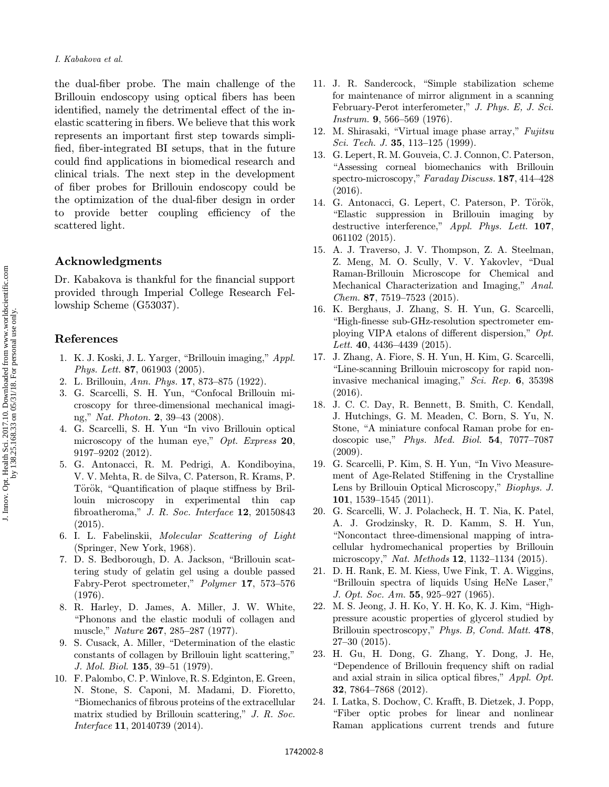<span id="page-7-0"></span>the dual-fiber probe. The main challenge of the Brillouin endoscopy using optical fibers has been identified, namely the detrimental effect of the inelastic scattering in fibers. We believe that this work represents an important first step towards simplified, fiber-integrated BI setups, that in the future could find applications in biomedical research and clinical trials. The next step in the development of fiber probes for Brillouin endoscopy could be the optimization of the dual-fiber design in order to provide better coupling efficiency of the scattered light.

## Acknowledgments

Dr. Kabakova is thankful for the financial support provided through Imperial College Research Fellowship Scheme (G53037).

## References

- 1. K. J. Koski, J. L. Yarger, \Brillouin imaging," Appl. Phys. Lett. 87, 061903 (2005).
- 2. L. Brillouin, Ann. Phys. 17, 873–875 (1922).
- 3. G. Scarcelli, S. H. Yun, "Confocal Brillouin microscopy for three-dimensional mechanical imaging," Nat. Photon. 2, 39–43 (2008).
- 4. G. Scarcelli, S. H. Yun \In vivo Brillouin optical microscopy of the human eye," Opt. Express 20, 9197–9202 (2012).
- 5. G. Antonacci, R. M. Pedrigi, A. Kondiboyina, V. V. Mehta, R. de Silva, C. Paterson, R. Krams, P. Török, "Quantification of plaque stiffness by Brillouin microscopy in experimental thin cap fibroatheroma," J. R. Soc. Interface  $12$ , 20150843 (2015).
- 6. I. L. Fabelinskii, Molecular Scattering of Light (Springer, New York, 1968).
- 7. D. S. Bedborough, D. A. Jackson, "Brillouin scattering study of gelatin gel using a double passed Fabry-Perot spectrometer," Polymer 17, 573–576 (1976).
- 8. R. Harley, D. James, A. Miller, J. W. White, \Phonons and the elastic moduli of collagen and muscle," Nature 267, 285–287 (1977).
- 9. S. Cusack, A. Miller, "Determination of the elastic constants of collagen by Brillouin light scattering," J. Mol. Biol. 135, 39–51 (1979).
- 10. F. Palombo, C. P. Winlove, R. S. Edginton, E. Green, N. Stone, S. Caponi, M. Madami, D. Fioretto, \Biomechanics of ¯brous proteins of the extracellular matrix studied by Brillouin scattering," J. R. Soc. Interface 11, 20140739 (2014).
- 11. J. R. Sandercock, "Simple stabilization scheme for maintenance of mirror alignment in a scanning February-Perot interferometer," J. Phys. E, J. Sci. Instrum. 9, 566–569 (1976).
- 12. M. Shirasaki, "Virtual image phase array," Fujitsu Sci. Tech. J. **35**, 113–125 (1999).
- 13. G. Lepert, R. M. Gouveia, C. J. Connon, C. Paterson, \Assessing corneal biomechanics with Brillouin spectro-microscopy," Faraday Discuss. 187, 414–428 (2016).
- 14. G. Antonacci, G. Lepert, C. Paterson, P. Török, \Elastic suppression in Brillouin imaging by destructive interference," Appl. Phys. Lett. 107, 061102 (2015).
- 15. A. J. Traverso, J. V. Thompson, Z. A. Steelman, Z. Meng, M. O. Scully, V. V. Yakovlev, "Dual Raman-Brillouin Microscope for Chemical and Mechanical Characterization and Imaging," Anal. Chem. 87, 7519–7523 (2015).
- 16. K. Berghaus, J. Zhang, S. H. Yun, G. Scarcelli, \High-¯nesse sub-GHz-resolution spectrometer employing VIPA etalons of different dispersion,"  $Opt.$ Lett. 40, 4436-4439 (2015).
- 17. J. Zhang, A. Fiore, S. H. Yun, H. Kim, G. Scarcelli, "Line-scanning Brillouin microscopy for rapid noninvasive mechanical imaging," Sci. Rep. 6, 35398 (2016).
- 18. J. C. C. Day, R. Bennett, B. Smith, C. Kendall, J. Hutchings, G. M. Meaden, C. Born, S. Yu, N. Stone, "A miniature confocal Raman probe for endoscopic use," Phys. Med. Biol. 54, 7077–7087 (2009).
- 19. G. Scarcelli, P. Kim, S. H. Yun, \In Vivo Measurement of Age-Related Stiffening in the Crystalline Lens by Brillouin Optical Microscopy," Biophys. J. 101, 1539–1545 (2011).
- 20. G. Scarcelli, W. J. Polacheck, H. T. Nia, K. Patel, A. J. Grodzinsky, R. D. Kamm, S. H. Yun, \Noncontact three-dimensional mapping of intracellular hydromechanical properties by Brillouin microscopy," Nat. Methods 12, 1132–1134 (2015).
- 21. D. H. Rank, E. M. Kiess, Uwe Fink, T. A. Wiggins, "Brillouin spectra of liquids Using HeNe Laser," J. Opt. Soc. Am. 55, 925–927 (1965).
- 22. M. S. Jeong, J. H. Ko, Y. H. Ko, K. J. Kim, "Highpressure acoustic properties of glycerol studied by Brillouin spectroscopy," Phys. B, Cond. Matt. 478, 27–30 (2015).
- 23. H. Gu, H. Dong, G. Zhang, Y. Dong, J. He, \Dependence of Brillouin frequency shift on radial and axial strain in silica optical fibres,"  $Appl.$   $Opt.$ 32, 7864–7868 (2012).
- 24. I. Latka, S. Dochow, C. Krafft, B. Dietzek, J. Popp, \Fiber optic probes for linear and nonlinear Raman applications current trends and future